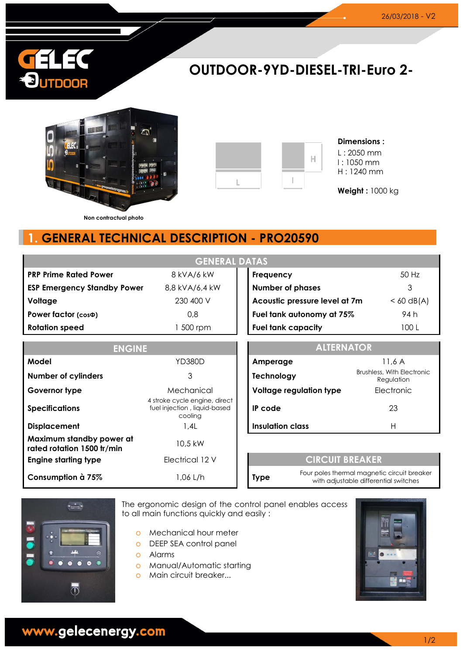

# **OUTDOOR-9YD-DIESEL-TRI-Euro 2-**





#### **Dimensions :** L : 2050 mm l : 1050 mm H : 1240 mm

**Weight :** 1000 kg

**Non contractual photo**

## **1. GENERAL TECHNICAL DESCRIPTION - PRO20590**

| <b>GENERAL DATAS</b>                                   |                                                                          |  |                                                        |                                                                                      |              |  |
|--------------------------------------------------------|--------------------------------------------------------------------------|--|--------------------------------------------------------|--------------------------------------------------------------------------------------|--------------|--|
| <b>PRP Prime Rated Power</b>                           | 8 kVA/6 kW                                                               |  | Frequency                                              |                                                                                      | 50 Hz        |  |
| <b>ESP Emergency Standby Power</b>                     | 8,8 kVA/6,4 kW                                                           |  | <b>Number of phases</b>                                |                                                                                      | 3            |  |
| Voltage                                                | 230 400 V                                                                |  | Acoustic pressure level at 7m                          |                                                                                      | $< 60$ dB(A) |  |
| Power factor (cos $\Phi$ )                             | 0,8                                                                      |  | Fuel tank autonomy at 75%                              |                                                                                      | 94 h         |  |
| <b>Rotation speed</b>                                  | 1 500 rpm                                                                |  | <b>Fuel tank capacity</b>                              |                                                                                      | 100L         |  |
| <b>ENGINE</b>                                          |                                                                          |  | <b>ALTERNATOR</b>                                      |                                                                                      |              |  |
| Model                                                  | <b>YD380D</b>                                                            |  | 11,6A<br>Amperage                                      |                                                                                      |              |  |
| <b>Number of cylinders</b>                             | 3                                                                        |  | Brushless, With Electronic<br>Technology<br>Regulation |                                                                                      |              |  |
| Governor type                                          | Mechanical                                                               |  | Voltage regulation type                                |                                                                                      | Electronic   |  |
| <b>Specifications</b>                                  | 4 stroke cycle engine, direct<br>fuel injection, liquid-based<br>cooling |  | IP code                                                |                                                                                      | 23           |  |
| <b>Displacement</b>                                    | 1,4L                                                                     |  | <b>Insulation class</b>                                |                                                                                      | H            |  |
| Maximum standby power at<br>rated rotation 1500 tr/min | 10,5 kW                                                                  |  |                                                        |                                                                                      |              |  |
| <b>Engine starting type</b>                            | Electrical 12 V                                                          |  | <b>CIRCUIT BREAKER</b>                                 |                                                                                      |              |  |
| Consumption à 75%                                      | 1,06 L/h                                                                 |  | <b>Type</b>                                            | Four poles thermal magnetic circuit breaker<br>with adjustable differential switches |              |  |



The ergonomic design of the control panel enables access to all main functions quickly and easily :

- o Mechanical hour meter
- o DEEP SEA control panel
- o Alarms
- o Manual/Automatic starting
- o Main circuit breaker...



www.gelecenergy.com